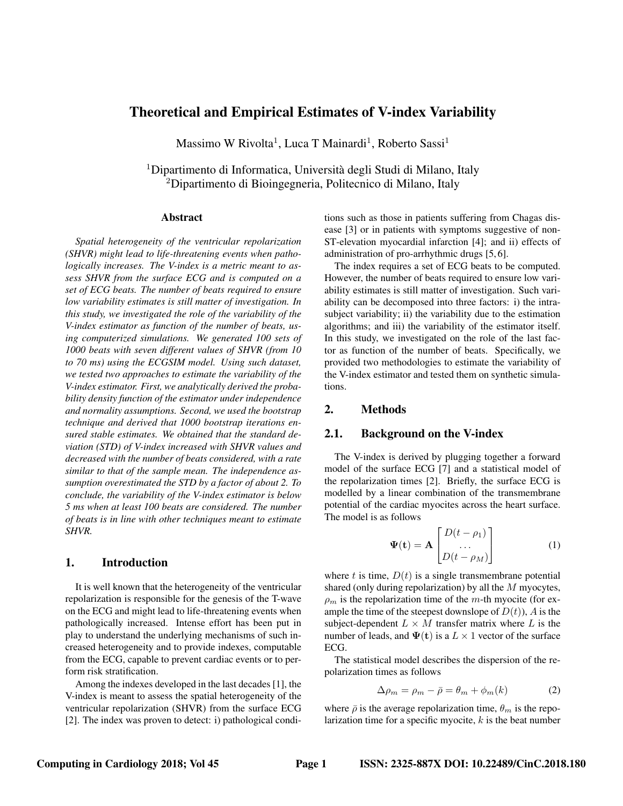# Theoretical and Empirical Estimates of V-index Variability

Massimo W Rivolta<sup>1</sup>, Luca T Mainardi<sup>1</sup>, Roberto Sassi<sup>1</sup>

<sup>1</sup>Dipartimento di Informatica, Università degli Studi di Milano, Italy <sup>2</sup>Dipartimento di Bioingegneria, Politecnico di Milano, Italy

#### Abstract

*Spatial heterogeneity of the ventricular repolarization (SHVR) might lead to life-threatening events when pathologically increases. The V-index is a metric meant to assess SHVR from the surface ECG and is computed on a set of ECG beats. The number of beats required to ensure low variability estimates is still matter of investigation. In this study, we investigated the role of the variability of the V-index estimator as function of the number of beats, using computerized simulations. We generated 100 sets of 1000 beats with seven different values of SHVR (from 10 to 70 ms) using the ECGSIM model. Using such dataset, we tested two approaches to estimate the variability of the V-index estimator. First, we analytically derived the probability density function of the estimator under independence and normality assumptions. Second, we used the bootstrap technique and derived that 1000 bootstrap iterations ensured stable estimates. We obtained that the standard deviation (STD) of V-index increased with SHVR values and decreased with the number of beats considered, with a rate similar to that of the sample mean. The independence assumption overestimated the STD by a factor of about 2. To conclude, the variability of the V-index estimator is below 5 ms when at least 100 beats are considered. The number of beats is in line with other techniques meant to estimate SHVR.*

## 1. Introduction

It is well known that the heterogeneity of the ventricular repolarization is responsible for the genesis of the T-wave on the ECG and might lead to life-threatening events when pathologically increased. Intense effort has been put in play to understand the underlying mechanisms of such increased heterogeneity and to provide indexes, computable from the ECG, capable to prevent cardiac events or to perform risk stratification.

Among the indexes developed in the last decades [1], the V-index is meant to assess the spatial heterogeneity of the ventricular repolarization (SHVR) from the surface ECG [2]. The index was proven to detect: i) pathological conditions such as those in patients suffering from Chagas disease [3] or in patients with symptoms suggestive of non-ST-elevation myocardial infarction [4]; and ii) effects of administration of pro-arrhythmic drugs [5, 6].

The index requires a set of ECG beats to be computed. However, the number of beats required to ensure low variability estimates is still matter of investigation. Such variability can be decomposed into three factors: i) the intrasubject variability; ii) the variability due to the estimation algorithms; and iii) the variability of the estimator itself. In this study, we investigated on the role of the last factor as function of the number of beats. Specifically, we provided two methodologies to estimate the variability of the V-index estimator and tested them on synthetic simulations.

## 2. Methods

## 2.1. Background on the V-index

The V-index is derived by plugging together a forward model of the surface ECG [7] and a statistical model of the repolarization times [2]. Briefly, the surface ECG is modelled by a linear combination of the transmembrane potential of the cardiac myocites across the heart surface. The model is as follows

$$
\Psi(\mathbf{t}) = \mathbf{A} \begin{bmatrix} D(t - \rho_1) \\ \dots \\ D(t - \rho_M) \end{bmatrix}
$$
 (1)

where t is time,  $D(t)$  is a single transmembrane potential shared (only during repolarization) by all the M myocytes,  $\rho_m$  is the repolarization time of the m-th myocite (for example the time of the steepest downslope of  $D(t)$ ), A is the subject-dependent  $L \times M$  transfer matrix where L is the number of leads, and  $\Psi(t)$  is a  $L \times 1$  vector of the surface ECG.

The statistical model describes the dispersion of the repolarization times as follows

$$
\Delta \rho_m = \rho_m - \bar{\rho} = \theta_m + \phi_m(k) \tag{2}
$$

where  $\bar{\rho}$  is the average repolarization time,  $\theta_m$  is the repolarization time for a specific myocite,  $k$  is the beat number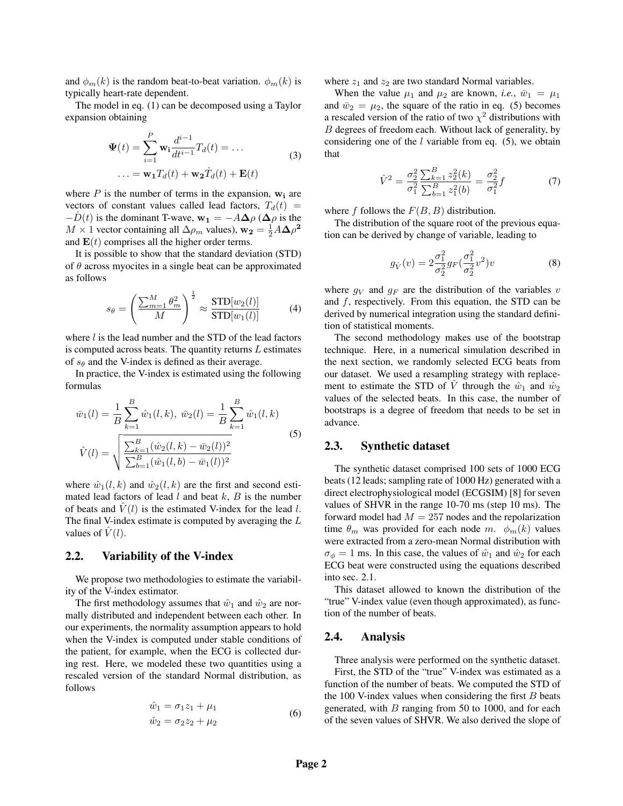and  $\phi_m(k)$  is the random beat-to-beat variation.  $\phi_m(k)$  is typically heart-rate dependent.

The model in eq. (1) can be decomposed using a Taylor expansion obtaining

$$
\Psi(t) = \sum_{i=1}^{P} \mathbf{w}_i \frac{d^{i-1}}{dt^{i-1}} T_d(t) = \dots
$$
  

$$
\dots = \mathbf{w}_1 T_d(t) + \mathbf{w}_2 \dot{T}_d(t) + \mathbf{E}(t)
$$
 (3)

where  $P$  is the number of terms in the expansion,  $w_i$  are vectors of constant values called lead factors,  $T_d(t)$  =  $-D(t)$  is the dominant T-wave,  $\mathbf{w}_1 = -A\Delta\rho$  ( $\Delta\rho$  is the  $M \times 1$  vector containing all  $\Delta \rho_m$  values),  $\mathbf{w_2} = \frac{1}{2} A \Delta \rho^2$ and  $E(t)$  comprises all the higher order terms.

It is possible to show that the standard deviation (STD) of  $\theta$  across myocites in a single beat can be approximated as follows

$$
s_{\theta} = \left(\frac{\sum_{m=1}^{M} \theta_m^2}{M}\right)^{\frac{1}{2}} \approx \frac{\text{STD}[w_2(l)]}{\text{STD}[w_1(l)]} \tag{4}
$$

where  $l$  is the lead number and the STD of the lead factors is computed across beats. The quantity returns  $L$  estimates of  $s_{\theta}$  and the V-index is defined as their average.

In practice, the V-index is estimated using the following formulas

$$
\bar{w}_1(l) = \frac{1}{B} \sum_{k=1}^{B} \hat{w}_1(l, k), \ \bar{w}_2(l) = \frac{1}{B} \sum_{k=1}^{B} \hat{w}_1(l, k)
$$
\n
$$
\hat{V}(l) = \sqrt{\frac{\sum_{k=1}^{B} (\hat{w}_2(l, k) - \bar{w}_2(l))^2}{\sum_{b=1}^{B} (\hat{w}_1(l, b) - \bar{w}_1(l))^2}} \tag{5}
$$

where  $\hat{w}_1(l, k)$  and  $\hat{w}_2(l, k)$  are the first and second estimated lead factors of lead  $l$  and beat  $k$ ,  $B$  is the number of beats and  $\hat{V}(l)$  is the estimated V-index for the lead l. The final V-index estimate is computed by averaging the L values of  $\dot{V}(l)$ .

## 2.2. Variability of the V-index

We propose two methodologies to estimate the variability of the V-index estimator.

The first methodology assumes that  $\hat{w}_1$  and  $\hat{w}_2$  are normally distributed and independent between each other. In our experiments, the normality assumption appears to hold when the V-index is computed under stable conditions of the patient, for example, when the ECG is collected during rest. Here, we modeled these two quantities using a rescaled version of the standard Normal distribution, as follows

$$
\hat{w}_1 = \sigma_1 z_1 + \mu_1 \n\hat{w}_2 = \sigma_2 z_2 + \mu_2
$$
\n(6)

where  $z_1$  and  $z_2$  are two standard Normal variables.

When the value  $\mu_1$  and  $\mu_2$  are known, *i.e.*,  $\bar{w}_1 = \mu_1$ and  $\bar{w}_2 = \mu_2$ , the square of the ratio in eq. (5) becomes a rescaled version of the ratio of two  $\chi^2$  distributions with B degrees of freedom each. Without lack of generality, by considering one of the  $l$  variable from eq. (5), we obtain that

$$
\hat{V}^2 = \frac{\sigma_2^2}{\sigma_1^2} \frac{\sum_{k=1}^B z_2^2(k)}{\sum_{b=1}^B z_1^2(b)} = \frac{\sigma_2^2}{\sigma_1^2} f \tag{7}
$$

where f follows the  $F(B, B)$  distribution.

The distribution of the square root of the previous equation can be derived by change of variable, leading to

$$
g_{\hat{V}}(v) = 2\frac{\sigma_1^2}{\sigma_2^2} g_F(\frac{\sigma_1^2}{\sigma_2^2} v^2)v
$$
 (8)

where  $g_V$  and  $g_F$  are the distribution of the variables v and  $f$ , respectively. From this equation, the STD can be derived by numerical integration using the standard definition of statistical moments.

The second methodology makes use of the bootstrap technique. Here, in a numerical simulation described in the next section, we randomly selected ECG beats from our dataset. We used a resampling strategy with replacement to estimate the STD of  $\hat{V}$  through the  $\hat{w}_1$  and  $\hat{w}_2$ values of the selected beats. In this case, the number of bootstraps is a degree of freedom that needs to be set in advance.

#### 2.3. Synthetic dataset

The synthetic dataset comprised 100 sets of 1000 ECG beats (12 leads; sampling rate of 1000 Hz) generated with a direct electrophysiological model (ECGSIM) [8] for seven values of SHVR in the range 10-70 ms (step 10 ms). The forward model had  $M = 257$  nodes and the repolarization time  $\theta_m$  was provided for each node m.  $\phi_m(k)$  values were extracted from a zero-mean Normal distribution with  $\sigma_{\phi} = 1$  ms. In this case, the values of  $\hat{w}_1$  and  $\hat{w}_2$  for each ECG beat were constructed using the equations described into sec. 2.1.

This dataset allowed to known the distribution of the "true" V-index value (even though approximated), as function of the number of beats.

#### 2.4. Analysis

Three analysis were performed on the synthetic dataset. First, the STD of the "true" V-index was estimated as a function of the number of beats. We computed the STD of the 100 V-index values when considering the first  $B$  beats generated, with  $B$  ranging from 50 to 1000, and for each of the seven values of SHVR. We also derived the slope of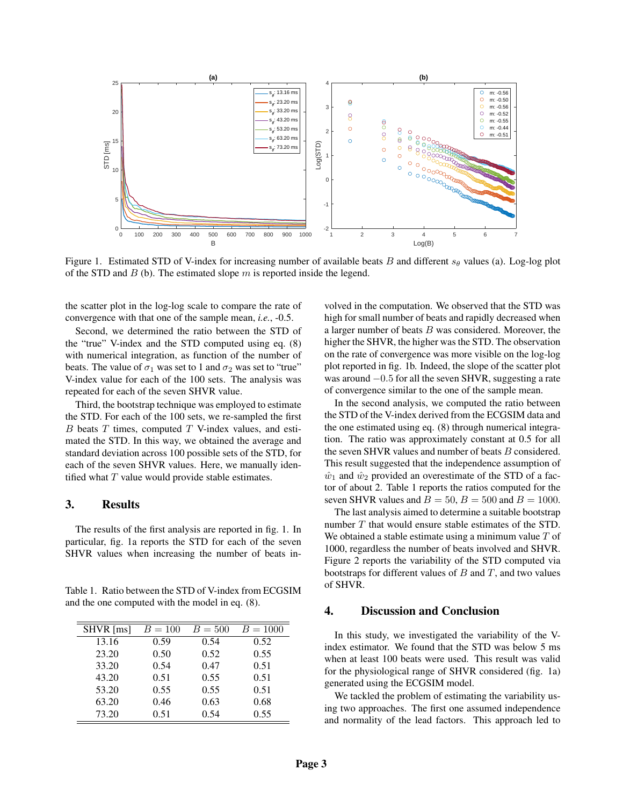

Figure 1. Estimated STD of V-index for increasing number of available beats B and different  $s_\theta$  values (a). Log-log plot of the STD and  $B$  (b). The estimated slope  $m$  is reported inside the legend.

the scatter plot in the log-log scale to compare the rate of convergence with that one of the sample mean, *i.e.*, -0.5.

Second, we determined the ratio between the STD of the "true" V-index and the STD computed using eq. (8) with numerical integration, as function of the number of beats. The value of  $\sigma_1$  was set to 1 and  $\sigma_2$  was set to "true" V-index value for each of the 100 sets. The analysis was repeated for each of the seven SHVR value.

Third, the bootstrap technique was employed to estimate the STD. For each of the 100 sets, we re-sampled the first  $B$  beats  $T$  times, computed  $T$  V-index values, and estimated the STD. In this way, we obtained the average and standard deviation across 100 possible sets of the STD, for each of the seven SHVR values. Here, we manually identified what  $T$  value would provide stable estimates.

### 3. Results

The results of the first analysis are reported in fig. 1. In particular, fig. 1a reports the STD for each of the seven SHVR values when increasing the number of beats in-

Table 1. Ratio between the STD of V-index from ECGSIM and the one computed with the model in eq. (8).

| SHVR [ms] | $B = 100$ | $B = 500$ | $B = 1000$ |
|-----------|-----------|-----------|------------|
| 13.16     | 0.59      | 0.54      | 0.52       |
| 23.20     | 0.50      | 0.52      | 0.55       |
| 33.20     | 0.54      | 0.47      | 0.51       |
| 43.20     | 0.51      | 0.55      | 0.51       |
| 53.20     | 0.55      | 0.55      | 0.51       |
| 63.20     | 0.46      | 0.63      | 0.68       |
| 73.20     | 0.51      | 0.54      | 0.55       |

volved in the computation. We observed that the STD was high for small number of beats and rapidly decreased when a larger number of beats B was considered. Moreover, the higher the SHVR, the higher was the STD. The observation on the rate of convergence was more visible on the log-log plot reported in fig. 1b. Indeed, the slope of the scatter plot was around −0.5 for all the seven SHVR, suggesting a rate of convergence similar to the one of the sample mean.

In the second analysis, we computed the ratio between the STD of the V-index derived from the ECGSIM data and the one estimated using eq. (8) through numerical integration. The ratio was approximately constant at 0.5 for all the seven SHVR values and number of beats B considered. This result suggested that the independence assumption of  $\hat{w}_1$  and  $\hat{w}_2$  provided an overestimate of the STD of a factor of about 2. Table 1 reports the ratios computed for the seven SHVR values and  $B = 50$ ,  $B = 500$  and  $B = 1000$ .

The last analysis aimed to determine a suitable bootstrap number T that would ensure stable estimates of the STD. We obtained a stable estimate using a minimum value  $T$  of 1000, regardless the number of beats involved and SHVR. Figure 2 reports the variability of the STD computed via bootstraps for different values of  $B$  and  $T$ , and two values of SHVR.

## 4. Discussion and Conclusion

In this study, we investigated the variability of the Vindex estimator. We found that the STD was below 5 ms when at least 100 beats were used. This result was valid for the physiological range of SHVR considered (fig. 1a) generated using the ECGSIM model.

We tackled the problem of estimating the variability using two approaches. The first one assumed independence and normality of the lead factors. This approach led to